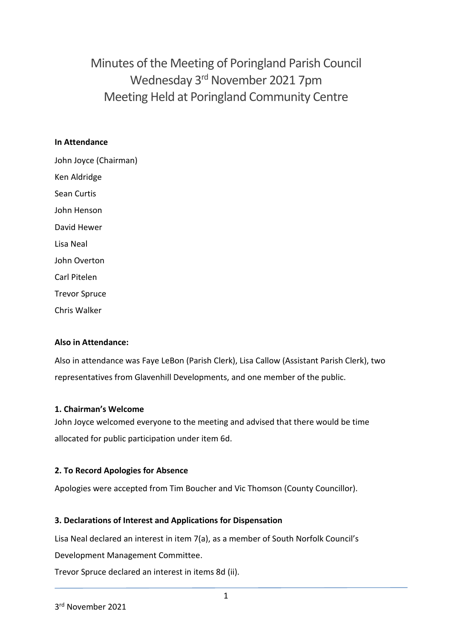Minutes of the Meeting of Poringland Parish Council Wednesday 3<sup>rd</sup> November 2021 7pm Meeting Held at Poringland Community Centre

#### **In Attendance**

John Joyce (Chairman) Ken Aldridge Sean Curtis John Henson David Hewer Lisa Neal John Overton Carl Pitelen Trevor Spruce Chris Walker

#### **Also in Attendance:**

Also in attendance was Faye LeBon (Parish Clerk), Lisa Callow (Assistant Parish Clerk), two representatives from Glavenhill Developments, and one member of the public.

#### **1. Chairman's Welcome**

John Joyce welcomed everyone to the meeting and advised that there would be time allocated for public participation under item 6d.

#### **2. To Record Apologies for Absence**

Apologies were accepted from Tim Boucher and Vic Thomson (County Councillor).

#### **3. Declarations of Interest and Applications for Dispensation**

Lisa Neal declared an interest in item 7(a), as a member of South Norfolk Council's

Development Management Committee.

Trevor Spruce declared an interest in items 8d (ii).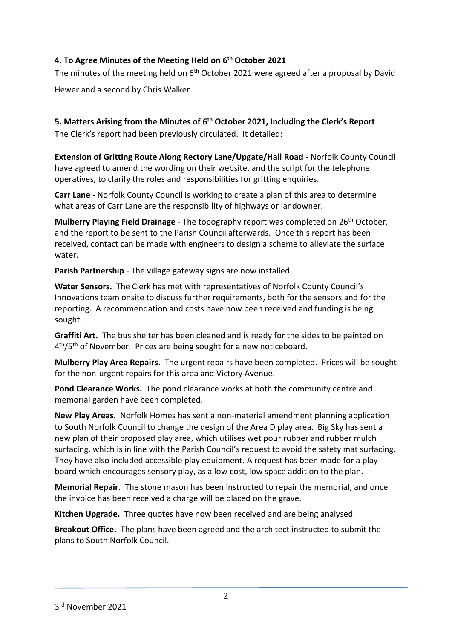## **4. To Agree Minutes of the Meeting Held on 6 th October 2021**

The minutes of the meeting held on 6<sup>th</sup> October 2021 were agreed after a proposal by David Hewer and a second by Chris Walker.

**5. Matters Arising from the Minutes of 6 th October 2021, Including the Clerk's Report** The Clerk's report had been previously circulated. It detailed:

**Extension of Gritting Route Along Rectory Lane/Upgate/Hall Road** - Norfolk County Council have agreed to amend the wording on their website, and the script for the telephone operatives, to clarify the roles and responsibilities for gritting enquiries.

**Carr Lane** - Norfolk County Council is working to create a plan of this area to determine what areas of Carr Lane are the responsibility of highways or landowner.

**Mulberry Playing Field Drainage** - The topography report was completed on 26th October, and the report to be sent to the Parish Council afterwards. Once this report has been received, contact can be made with engineers to design a scheme to alleviate the surface water.

**Parish Partnership** - The village gateway signs are now installed.

**Water Sensors.** The Clerk has met with representatives of Norfolk County Council's Innovations team onsite to discuss further requirements, both for the sensors and for the reporting. A recommendation and costs have now been received and funding is being sought.

**Graffiti Art.** The bus shelter has been cleaned and is ready for the sides to be painted on 4<sup>th</sup>/5<sup>th</sup> of November. Prices are being sought for a new noticeboard.

**Mulberry Play Area Repairs**. The urgent repairs have been completed. Prices will be sought for the non-urgent repairs for this area and Victory Avenue.

**Pond Clearance Works.** The pond clearance works at both the community centre and memorial garden have been completed.

**New Play Areas.** Norfolk Homes has sent a non-material amendment planning application to South Norfolk Council to change the design of the Area D play area. Big Sky has sent a new plan of their proposed play area, which utilises wet pour rubber and rubber mulch surfacing, which is in line with the Parish Council's request to avoid the safety mat surfacing. They have also included accessible play equipment. A request has been made for a play board which encourages sensory play, as a low cost, low space addition to the plan.

**Memorial Repair.** The stone mason has been instructed to repair the memorial, and once the invoice has been received a charge will be placed on the grave.

**Kitchen Upgrade.** Three quotes have now been received and are being analysed.

**Breakout Office.** The plans have been agreed and the architect instructed to submit the plans to South Norfolk Council.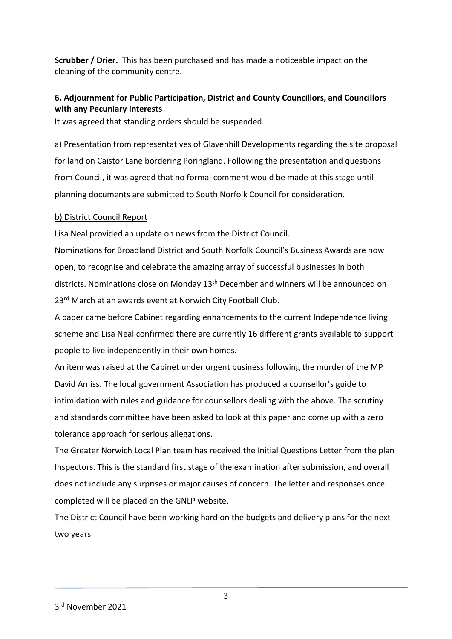**Scrubber / Drier.** This has been purchased and has made a noticeable impact on the cleaning of the community centre.

# **6. Adjournment for Public Participation, District and County Councillors, and Councillors with any Pecuniary Interests**

It was agreed that standing orders should be suspended.

a) Presentation from representatives of Glavenhill Developments regarding the site proposal for land on Caistor Lane bordering Poringland. Following the presentation and questions from Council, it was agreed that no formal comment would be made at this stage until planning documents are submitted to South Norfolk Council for consideration.

#### b) District Council Report

Lisa Neal provided an update on news from the District Council.

Nominations for Broadland District and South Norfolk Council's Business Awards are now open, to recognise and celebrate the amazing array of successful businesses in both districts. Nominations close on Monday 13<sup>th</sup> December and winners will be announced on 23<sup>rd</sup> March at an awards event at Norwich City Football Club.

A paper came before Cabinet regarding enhancements to the current Independence living scheme and Lisa Neal confirmed there are currently 16 different grants available to support people to live independently in their own homes.

An item was raised at the Cabinet under urgent business following the murder of the MP David Amiss. The local government Association has produced a counsellor's guide to intimidation with rules and guidance for counsellors dealing with the above. The scrutiny and standards committee have been asked to look at this paper and come up with a zero tolerance approach for serious allegations.

The Greater Norwich Local Plan team has received the Initial Questions Letter from the plan Inspectors. This is the standard first stage of the examination after submission, and overall does not include any surprises or major causes of concern. The letter and responses once completed will be placed on the GNLP website.

The District Council have been working hard on the budgets and delivery plans for the next two years.

3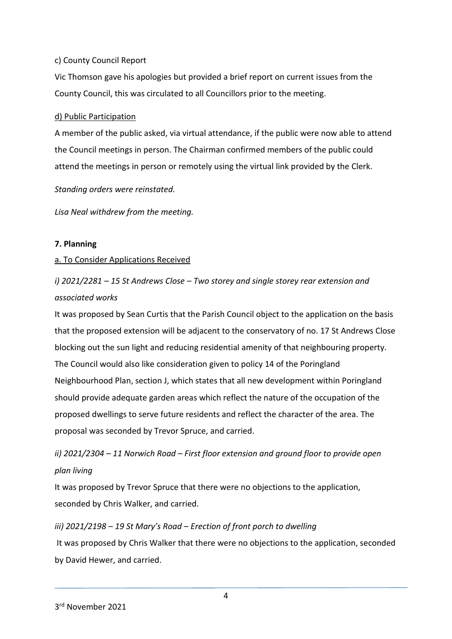### c) County Council Report

Vic Thomson gave his apologies but provided a brief report on current issues from the County Council, this was circulated to all Councillors prior to the meeting.

### d) Public Participation

A member of the public asked, via virtual attendance, if the public were now able to attend the Council meetings in person. The Chairman confirmed members of the public could attend the meetings in person or remotely using the virtual link provided by the Clerk.

*Standing orders were reinstated.* 

*Lisa Neal withdrew from the meeting.* 

## **7. Planning**

#### a. To Consider Applications Received

# *i) 2021/2281 – 15 St Andrews Close – Two storey and single storey rear extension and associated works*

It was proposed by Sean Curtis that the Parish Council object to the application on the basis that the proposed extension will be adjacent to the conservatory of no. 17 St Andrews Close blocking out the sun light and reducing residential amenity of that neighbouring property. The Council would also like consideration given to policy 14 of the Poringland Neighbourhood Plan, section J, which states that all new development within Poringland should provide adequate garden areas which reflect the nature of the occupation of the proposed dwellings to serve future residents and reflect the character of the area. The proposal was seconded by Trevor Spruce, and carried.

# *ii) 2021/2304 – 11 Norwich Road – First floor extension and ground floor to provide open plan living*

It was proposed by Trevor Spruce that there were no objections to the application, seconded by Chris Walker, and carried.

# *iii) 2021/2198 – 19 St Mary's Road – Erection of front porch to dwelling* It was proposed by Chris Walker that there were no objections to the application, seconded by David Hewer, and carried.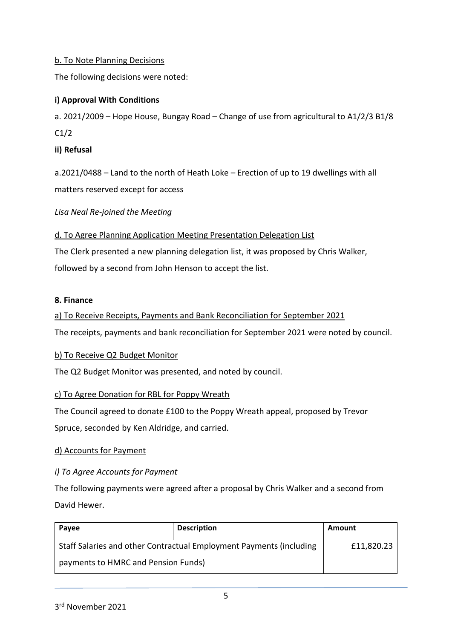## b. To Note Planning Decisions

The following decisions were noted:

## **i) Approval With Conditions**

a. 2021/2009 – Hope House, Bungay Road – Change of use from agricultural to A1/2/3 B1/8 C1/2

**ii) Refusal**

a.2021/0488 – Land to the north of Heath Loke – Erection of up to 19 dwellings with all matters reserved except for access

*Lisa Neal Re-joined the Meeting*

d. To Agree Planning Application Meeting Presentation Delegation List

The Clerk presented a new planning delegation list, it was proposed by Chris Walker, followed by a second from John Henson to accept the list.

#### **8. Finance**

a) To Receive Receipts, Payments and Bank Reconciliation for September 2021

The receipts, payments and bank reconciliation for September 2021 were noted by council.

#### b) To Receive Q2 Budget Monitor

The Q2 Budget Monitor was presented, and noted by council.

#### c) To Agree Donation for RBL for Poppy Wreath

The Council agreed to donate £100 to the Poppy Wreath appeal, proposed by Trevor Spruce, seconded by Ken Aldridge, and carried.

#### d) Accounts for Payment

#### *i) To Agree Accounts for Payment*

The following payments were agreed after a proposal by Chris Walker and a second from David Hewer.

| Payee                                                               | <b>Description</b> | Amount     |
|---------------------------------------------------------------------|--------------------|------------|
| Staff Salaries and other Contractual Employment Payments (including |                    | £11,820.23 |
| payments to HMRC and Pension Funds)                                 |                    |            |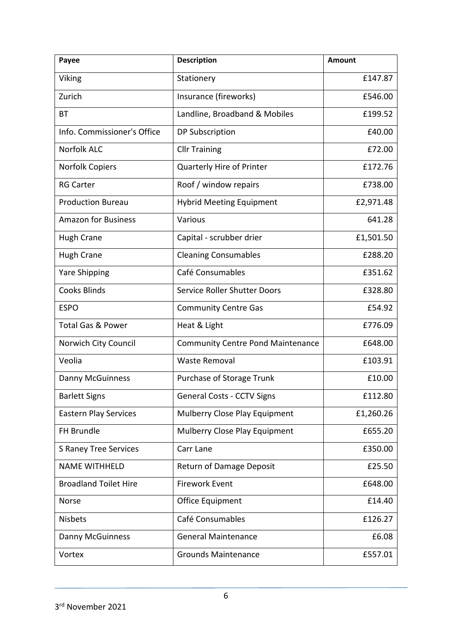| Payee                        | <b>Description</b>                       | <b>Amount</b> |
|------------------------------|------------------------------------------|---------------|
| Viking                       | Stationery                               | £147.87       |
| Zurich                       | Insurance (fireworks)                    | £546.00       |
| ВT                           | Landline, Broadband & Mobiles            | £199.52       |
| Info. Commissioner's Office  | DP Subscription                          | £40.00        |
| <b>Norfolk ALC</b>           | <b>Cllr Training</b>                     | £72.00        |
| <b>Norfolk Copiers</b>       | Quarterly Hire of Printer                | £172.76       |
| <b>RG Carter</b>             | Roof / window repairs                    | £738.00       |
| <b>Production Bureau</b>     | <b>Hybrid Meeting Equipment</b>          | £2,971.48     |
| <b>Amazon for Business</b>   | Various                                  | 641.28        |
| <b>Hugh Crane</b>            | Capital - scrubber drier                 | £1,501.50     |
| <b>Hugh Crane</b>            | <b>Cleaning Consumables</b>              | £288.20       |
| <b>Yare Shipping</b>         | Café Consumables                         | £351.62       |
| <b>Cooks Blinds</b>          | Service Roller Shutter Doors             | £328.80       |
| <b>ESPO</b>                  | <b>Community Centre Gas</b>              | £54.92        |
| <b>Total Gas &amp; Power</b> | Heat & Light                             | £776.09       |
| Norwich City Council         | <b>Community Centre Pond Maintenance</b> | £648.00       |
| Veolia                       | <b>Waste Removal</b>                     | £103.91       |
| <b>Danny McGuinness</b>      | Purchase of Storage Trunk                | £10.00        |
| <b>Barlett Signs</b>         | <b>General Costs - CCTV Signs</b>        | £112.80       |
| <b>Eastern Play Services</b> | Mulberry Close Play Equipment            | £1,260.26     |
| FH Brundle                   | Mulberry Close Play Equipment            | £655.20       |
| <b>S Raney Tree Services</b> | Carr Lane                                | £350.00       |
| <b>NAME WITHHELD</b>         | <b>Return of Damage Deposit</b>          | £25.50        |
| <b>Broadland Toilet Hire</b> | <b>Firework Event</b>                    | £648.00       |
| Norse                        | Office Equipment                         | £14.40        |
| <b>Nisbets</b>               | Café Consumables                         | £126.27       |
| <b>Danny McGuinness</b>      | <b>General Maintenance</b>               | £6.08         |
| Vortex                       | <b>Grounds Maintenance</b>               | £557.01       |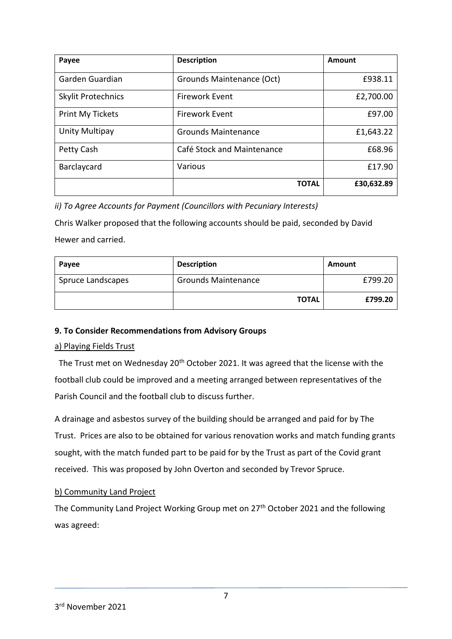| Payee                     | <b>Description</b>         | Amount     |
|---------------------------|----------------------------|------------|
| Garden Guardian           | Grounds Maintenance (Oct)  | £938.11    |
| <b>Skylit Protechnics</b> | <b>Firework Event</b>      | £2,700.00  |
| Print My Tickets          | <b>Firework Event</b>      | £97.00     |
| Unity Multipay            | <b>Grounds Maintenance</b> | £1,643.22  |
| Petty Cash                | Café Stock and Maintenance | £68.96     |
| Barclaycard               | Various                    | £17.90     |
|                           | <b>TOTAL</b>               | £30,632.89 |

*ii) To Agree Accounts for Payment (Councillors with Pecuniary Interests)*

Chris Walker proposed that the following accounts should be paid, seconded by David Hewer and carried.

| Payee             | <b>Description</b>         | Amount  |
|-------------------|----------------------------|---------|
| Spruce Landscapes | <b>Grounds Maintenance</b> | £799.20 |
|                   | <b>TOTAL</b>               | £799.20 |

## **9. To Consider Recommendations from Advisory Groups**

#### a) Playing Fields Trust

The Trust met on Wednesday 20<sup>th</sup> October 2021. It was agreed that the license with the football club could be improved and a meeting arranged between representatives of the Parish Council and the football club to discuss further.

A drainage and asbestos survey of the building should be arranged and paid for by The Trust. Prices are also to be obtained for various renovation works and match funding grants sought, with the match funded part to be paid for by the Trust as part of the Covid grant received. This was proposed by John Overton and seconded by Trevor Spruce.

#### b) Community Land Project

The Community Land Project Working Group met on 27<sup>th</sup> October 2021 and the following was agreed: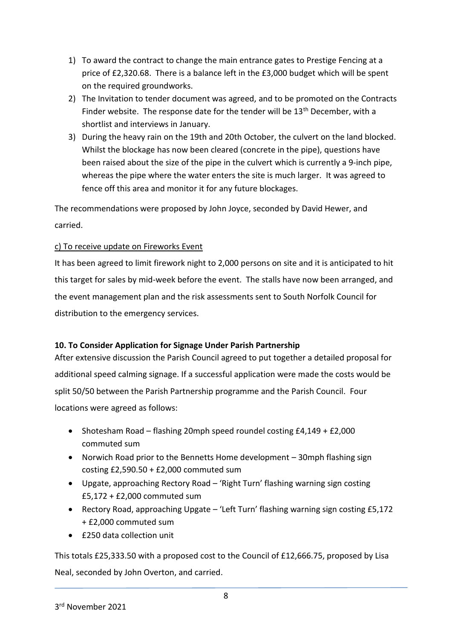- 1) To award the contract to change the main entrance gates to Prestige Fencing at a price of £2,320.68. There is a balance left in the £3,000 budget which will be spent on the required groundworks.
- 2) The Invitation to tender document was agreed, and to be promoted on the Contracts Finder website. The response date for the tender will be 13<sup>th</sup> December, with a shortlist and interviews in January.
- 3) During the heavy rain on the 19th and 20th October, the culvert on the land blocked. Whilst the blockage has now been cleared (concrete in the pipe), questions have been raised about the size of the pipe in the culvert which is currently a 9-inch pipe, whereas the pipe where the water enters the site is much larger. It was agreed to fence off this area and monitor it for any future blockages.

The recommendations were proposed by John Joyce, seconded by David Hewer, and carried.

## c) To receive update on Fireworks Event

It has been agreed to limit firework night to 2,000 persons on site and it is anticipated to hit this target for sales by mid-week before the event. The stalls have now been arranged, and the event management plan and the risk assessments sent to South Norfolk Council for distribution to the emergency services.

## **10. To Consider Application for Signage Under Parish Partnership**

After extensive discussion the Parish Council agreed to put together a detailed proposal for additional speed calming signage. If a successful application were made the costs would be split 50/50 between the Parish Partnership programme and the Parish Council. Four locations were agreed as follows:

- Shotesham Road flashing 20mph speed roundel costing  $E4,149 + E2,000$ commuted sum
- Norwich Road prior to the Bennetts Home development 30mph flashing sign costing £2,590.50 + £2,000 commuted sum
- Upgate, approaching Rectory Road 'Right Turn' flashing warning sign costing £5,172 + £2,000 commuted sum
- Rectory Road, approaching Upgate 'Left Turn' flashing warning sign costing £5,172 + £2,000 commuted sum
- £250 data collection unit

This totals £25,333.50 with a proposed cost to the Council of £12,666.75, proposed by Lisa Neal, seconded by John Overton, and carried.